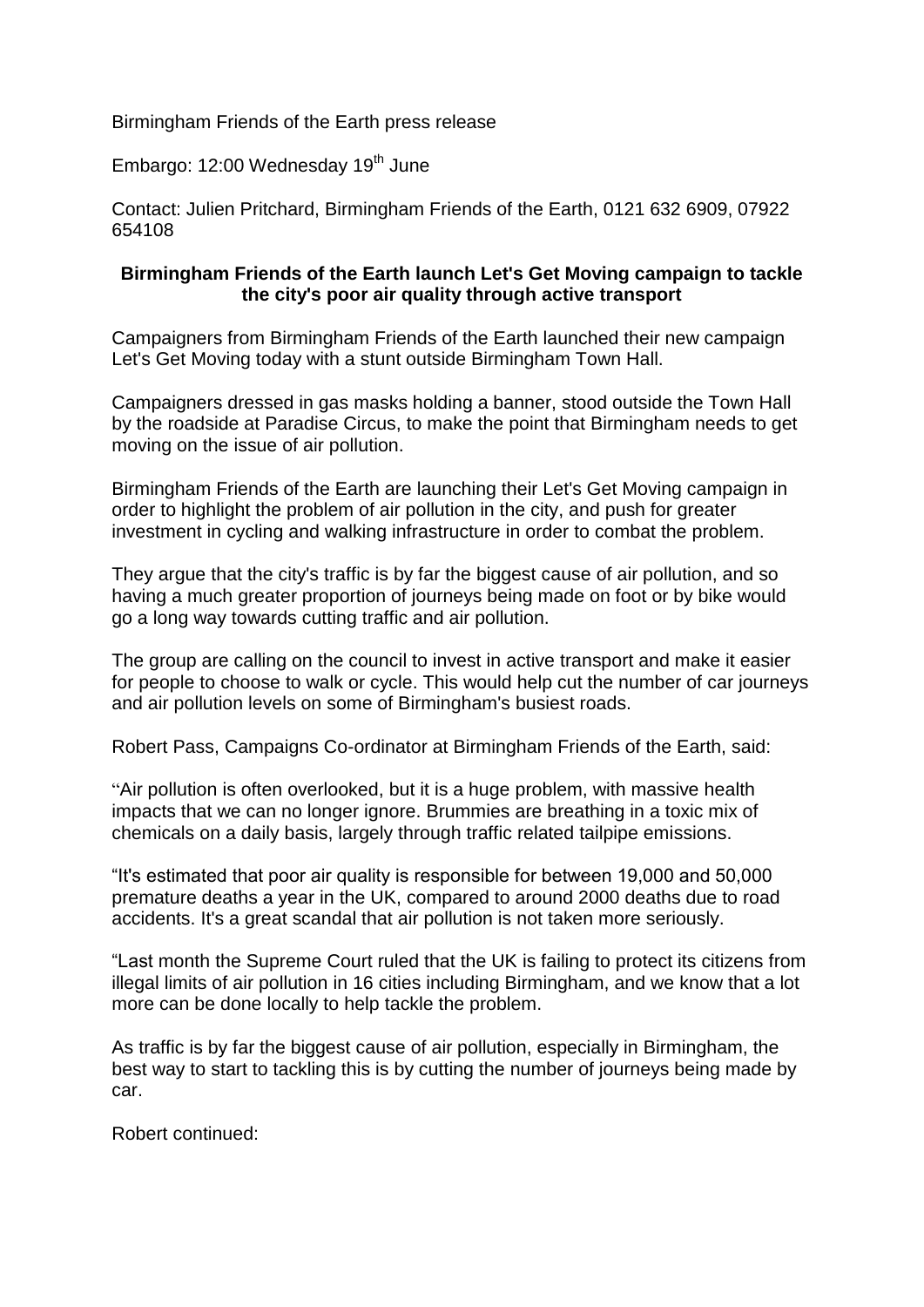Birmingham Friends of the Earth press release

Embargo: 12:00 Wednesday 19<sup>th</sup> June

Contact: Julien Pritchard, Birmingham Friends of the Earth, 0121 632 6909, 07922 654108

### **Birmingham Friends of the Earth launch Let's Get Moving campaign to tackle the city's poor air quality through active transport**

Campaigners from Birmingham Friends of the Earth launched their new campaign Let's Get Moving today with a stunt outside Birmingham Town Hall.

Campaigners dressed in gas masks holding a banner, stood outside the Town Hall by the roadside at Paradise Circus, to make the point that Birmingham needs to get moving on the issue of air pollution.

Birmingham Friends of the Earth are launching their Let's Get Moving campaign in order to highlight the problem of air pollution in the city, and push for greater investment in cycling and walking infrastructure in order to combat the problem.

They argue that the city's traffic is by far the biggest cause of air pollution, and so having a much greater proportion of journeys being made on foot or by bike would go a long way towards cutting traffic and air pollution.

The group are calling on the council to invest in active transport and make it easier for people to choose to walk or cycle. This would help cut the number of car journeys and air pollution levels on some of Birmingham's busiest roads.

Robert Pass, Campaigns Co-ordinator at Birmingham Friends of the Earth, said:

"Air pollution is often overlooked, but it is a huge problem, with massive health impacts that we can no longer ignore. Brummies are breathing in a toxic mix of chemicals on a daily basis, largely through traffic related tailpipe emissions.

"It's estimated that poor air quality is responsible for between 19,000 and 50,000 premature deaths a year in the UK, compared to around 2000 deaths due to road accidents. It's a great scandal that air pollution is not taken more seriously.

"Last month the Supreme Court ruled that the UK is failing to protect its citizens from illegal limits of air pollution in 16 cities including Birmingham, and we know that a lot more can be done locally to help tackle the problem.

As traffic is by far the biggest cause of air pollution, especially in Birmingham, the best way to start to tackling this is by cutting the number of journeys being made by car.

Robert continued: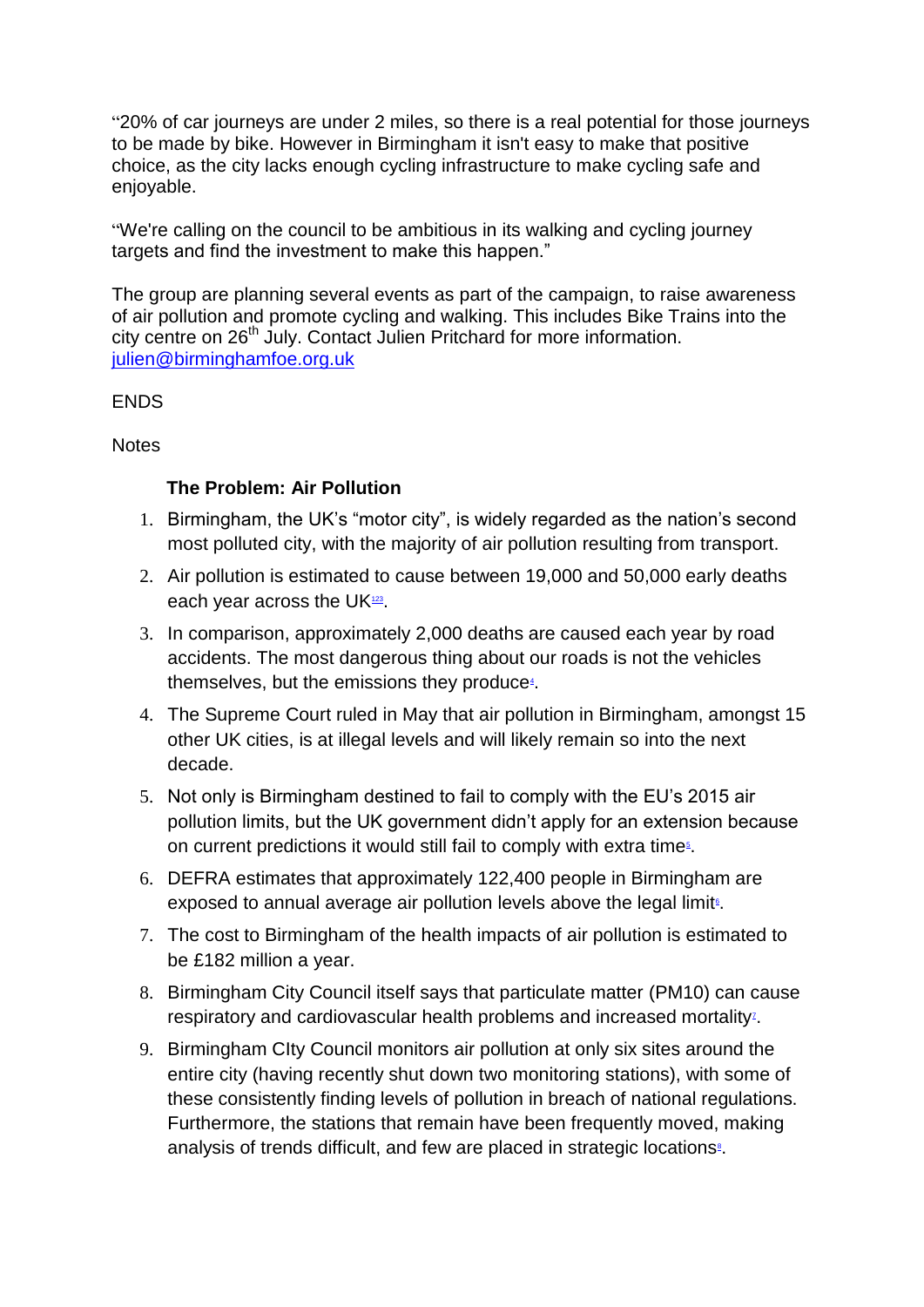"20% of car journeys are under 2 miles, so there is a real potential for those journeys to be made by bike. However in Birmingham it isn't easy to make that positive choice, as the city lacks enough cycling infrastructure to make cycling safe and enjoyable.

"We're calling on the council to be ambitious in its walking and cycling journey targets and find the investment to make this happen."

The group are planning several events as part of the campaign, to raise awareness of air pollution and promote cycling and walking. This includes Bike Trains into the city centre on 26<sup>th</sup> July. Contact Julien Pritchard for more information. [julien@birminghamfoe.org.uk](mailto:julien@birminghamfoe.org.uk)

## **FNDS**

## **Notes**

# **The Problem: Air Pollution**

- 1. Birmingham, the UK's "motor city", is widely regarded as the nation's second most polluted city, with the majority of air pollution resulting from transport.
- 2. Air pollution is estimated to cause between 19,000 and 50,000 early deaths each year across the U[K](#page-2-0) $123$ [.](#page-2-1)
- <span id="page-1-2"></span><span id="page-1-1"></span><span id="page-1-0"></span>3. In comparison, approximately 2,000 deaths are caused each year by road accidents. The most dangerous thing about our roads is not the vehicles th[e](#page-2-2)mselves, but the emissions they produce<sup>4</sup>.
- <span id="page-1-3"></span>4. The Supreme Court ruled in May that air pollution in Birmingham, amongst 15 other UK cities, is at illegal levels and will likely remain so into the next decade.
- 5. Not only is Birmingham destined to fail to comply with the EU's 2015 air pollution limits, but the UK government didn't apply for an extension because on current predictions it would still fail to comply with extra time<sup>5</sup>[.](#page-2-3)
- <span id="page-1-5"></span><span id="page-1-4"></span>6. DEFRA estimates that approximately 122,400 people in Birmingham are exposed to annual average air pollution levels above the legal limit<sup>®</sup>[.](#page-3-0)
- 7. The cost to Birmingham of the health impacts of air pollution is estimated to be £182 million a year.
- <span id="page-1-6"></span>8. Birmingham City Council itself says that particulate matter (PM10) can cause respiratory and cardiovascular health problems and increased mortality<sup>z</sup>[.](#page-3-1)
- <span id="page-1-7"></span>9. Birmingham CIty Council monitors air pollution at only six sites around the entire city (having recently shut down two monitoring stations), with some of these consistently finding levels of pollution in breach of national regulations. Furthermore, the stations that remain have been frequently moved, making analy[s](#page-3-2)is of trends difficult, and few are placed in strategic locations<sup>®</sup>.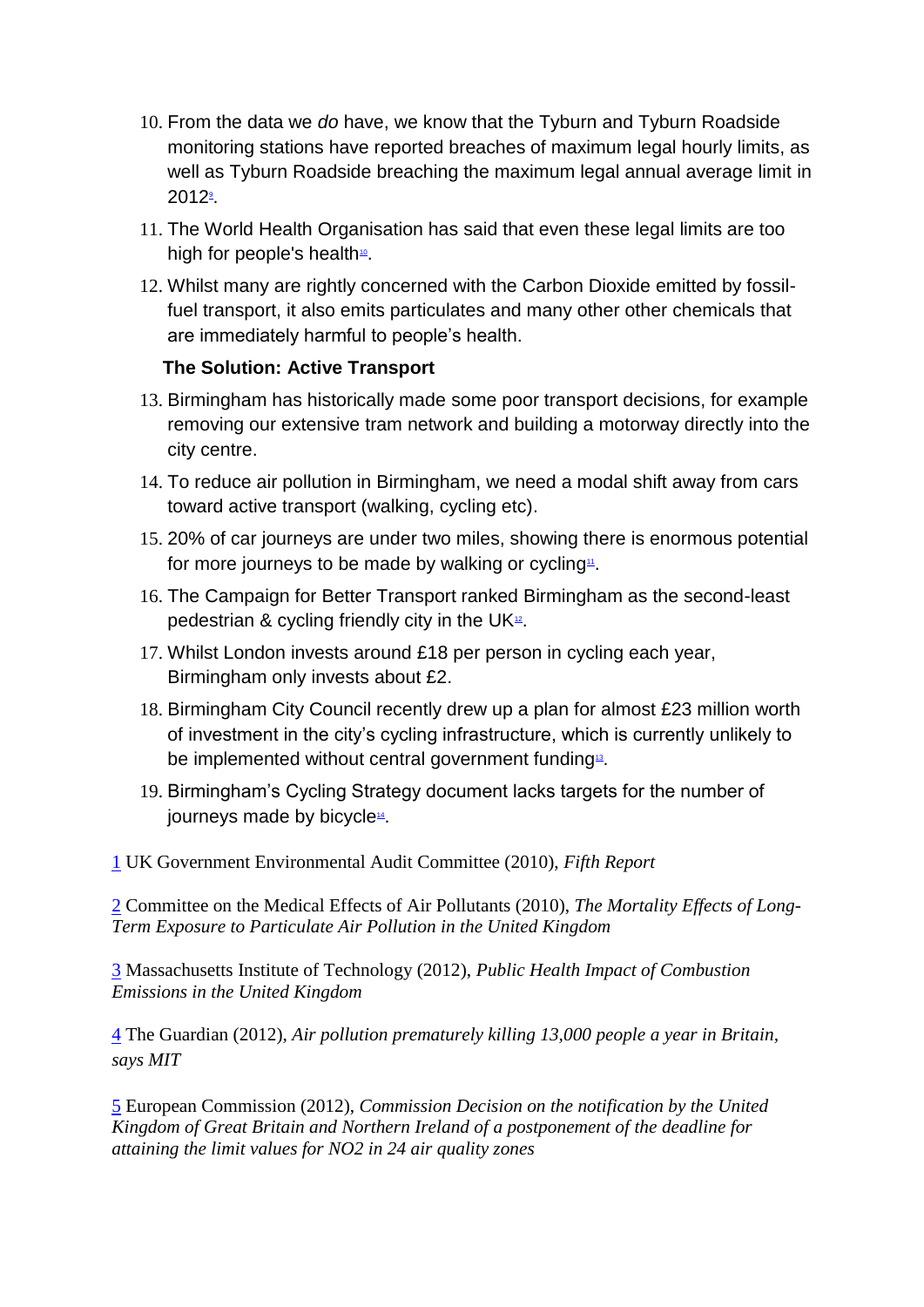- 10. From the data we *do* have, we know that the Tyburn and Tyburn Roadside monitoring stations have reported breaches of maximum legal hourly limits, as well as Tyburn Roadside breaching the maximum legal annual average limit in [2](#page-3-3)012<sup>9</sup>.
- <span id="page-2-5"></span><span id="page-2-4"></span>11. The World Health Organisation has said that even these legal limits are too [h](#page-3-4)igh for people's health<sup>10</sup>.
- 12. Whilst many are rightly concerned with the Carbon Dioxide emitted by fossilfuel transport, it also emits particulates and many other other chemicals that are immediately harmful to people's health.

# **The Solution: Active Transport**

- 13. Birmingham has historically made some poor transport decisions, for example removing our extensive tram network and building a motorway directly into the city centre.
- 14. To reduce air pollution in Birmingham, we need a modal shift away from cars toward active transport (walking, cycling etc).
- <span id="page-2-6"></span>15. 20% of car journeys are under two miles, showing there is enormous potential for more journeys to be made by walkin[g](#page-3-5) or cycling<sup>11</sup>.
- <span id="page-2-7"></span>16. The Campaign for Better Transport ranked Birmingham as the second-least pedestrian & cycling friendly city in the U[K](#page-3-6) $2$ .
- 17. Whilst London invests around £18 per person in cycling each year, Birmingham only invests about £2.
- 18. Birmingham City Council recently drew up a plan for almost £23 million worth of investment in the city's cycling infrastructure, which is currently unlikely to be implemented without central [g](#page-3-7)overnment funding<sup>13</sup>.
- <span id="page-2-9"></span><span id="page-2-8"></span>19. Birmingham's Cycling Strategy document lacks targets for the number of journ[e](#page-3-8)ys made by bicycle<sup>14</sup>.

<span id="page-2-0"></span>[1](#page-1-0) UK Government Environmental Audit Committee (2010), *Fifth Report*

[2](#page-1-1) Committee on the Medical Effects of Air Pollutants (2010), *The Mortality Effects of Long-Term Exposure to Particulate Air Pollution in the United Kingdom*

<span id="page-2-1"></span>[3](#page-1-2) Massachusetts Institute of Technology (2012), *Public Health Impact of Combustion Emissions in the United Kingdom*

<span id="page-2-2"></span>[4](#page-1-3) The Guardian (2012), *Air pollution prematurely killing 13,000 people a year in Britain, says MIT*

<span id="page-2-3"></span>[5](#page-1-4) European Commission (2012), *Commission Decision on the notification by the United Kingdom of Great Britain and Northern Ireland of a postponement of the deadline for attaining the limit values for NO2 in 24 air quality zones*